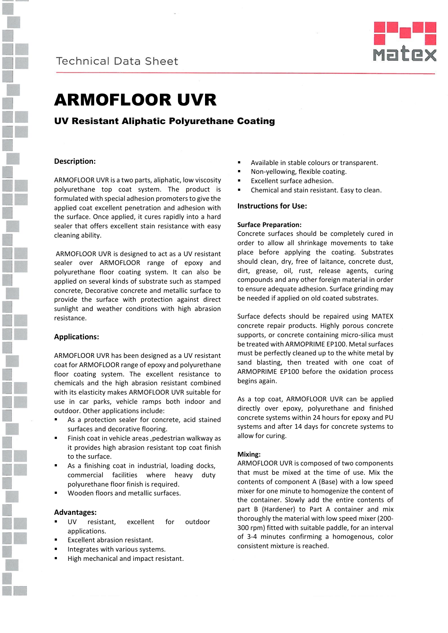



# ARMOFLOOR UVR

# UV Resistant Aliphatic Polyurethane Coating

### **Description:**

ARMOFLOOR UVR is a two parts, aliphatic, low viscosity polyurethane top coat system. The product is formulated with special adhesion promoters to give the applied coat excellent penetration and adhesion with the surface. Once applied, it cures rapidly into a hard sealer that offers excellent stain resistance with easy cleaning ability.

 ARMOFLOOR UVR is designed to act as a UV resistant sealer over ARMOFLOOR range of epoxy and polyurethane floor coating system. It can also be applied on several kinds of substrate such as stamped concrete, Decorative concrete and metallic surface to provide the surface with protection against direct sunlight and weather conditions with high abrasion resistance.

#### **Applications:**

ARMOFLOOR UVR has been designed as a UV resistant coat for ARMOFLOOR range of epoxy and polyurethane floor coating system. The excellent resistance to chemicals and the high abrasion resistant combined with its elasticity makes ARMOFLOOR UVR suitable for use in car parks, vehicle ramps both indoor and outdoor. Other applications include:

- As a protection sealer for concrete, acid stained surfaces and decorative flooring.
- Finish coat in vehicle areas ,pedestrian walkway as it provides high abrasion resistant top coat finish to the surface.
- As a finishing coat in industrial, loading docks, commercial facilities where heavy duty polyurethane floor finish is required.
- Wooden floors and metallic surfaces.

#### **Advantages:**

- UV resistant, excellent for outdoor applications.
- Excellent abrasion resistant.
- Integrates with various systems.
- High mechanical and impact resistant.
- Available in stable colours or transparent.
- Non-yellowing, flexible coating.
- Excellent surface adhesion.
- Chemical and stain resistant. Easy to clean.

#### **Instructions for Use:**

#### **Surface Preparation:**

Concrete surfaces should be completely cured in order to allow all shrinkage movements to take place before applying the coating. Substrates should clean, dry, free of laitance, concrete dust, dirt, grease, oil, rust, release agents, curing compounds and any other foreign material in order to ensure adequate adhesion. Surface grinding may be needed if applied on old coated substrates.

Surface defects should be repaired using MATEX concrete repair products. Highly porous concrete supports, or concrete containing micro-silica must be treated with ARMOPRIME EP100. Metal surfaces must be perfectly cleaned up to the white metal by sand blasting, then treated with one coat of ARMOPRIME EP100 before the oxidation process begins again.

As a top coat, ARMOFLOOR UVR can be applied directly over epoxy, polyurethane and finished concrete systems within 24 hours for epoxy and PU systems and after 14 days for concrete systems to allow for curing.

#### **Mixing:**

ARMOFLOOR UVR is composed of two components that must be mixed at the time of use. Mix the contents of component A (Base) with a low speed mixer for one minute to homogenize the content of the container. Slowly add the entire contents of part B (Hardener) to Part A container and mix thoroughly the material with low speed mixer (200- 300 rpm) fitted with suitable paddle, for an interval of 3-4 minutes confirming a homogenous, color consistent mixture is reached.